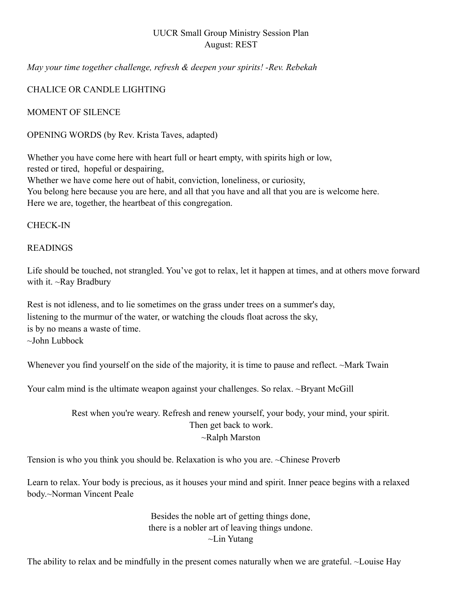## UUCR Small Group Ministry Session Plan August: REST

*May your time together challenge, refresh & deepen your spirits! -Rev. Rebekah* 

## CHALICE OR CANDLE LIGHTING

MOMENT OF SILENCE

OPENING WORDS (by Rev. Krista Taves, adapted)

Whether you have come here with heart full or heart empty, with spirits high or low, rested or tired, hopeful or despairing, Whether we have come here out of habit, conviction, loneliness, or curiosity, You belong here because you are here, and all that you have and all that you are is welcome here. Here we are, together, the heartbeat of this congregation.

#### CHECK-IN

#### READINGS

Life should be touched, not strangled. You've got to relax, let it happen at times, and at others move forward with it. ~Ray Bradbury

Rest is not idleness, and to lie sometimes on the grass under trees on a summer's day, listening to the murmur of the water, or watching the clouds float across the sky, is by no means a waste of time. ~John Lubbock

Whenever you find yourself on the side of the majority, it is time to pause and reflect. ~Mark Twain

Your calm mind is the ultimate weapon against your challenges. So relax. ~Bryant McGill

## Rest when you're weary. Refresh and renew yourself, your body, your mind, your spirit. Then get back to work. ~Ralph Marston

Tension is who you think you should be. Relaxation is who you are. ~Chinese Proverb

Learn to relax. Your body is precious, as it houses your mind and spirit. Inner peace begins with a relaxed body.~Norman Vincent Peale

> Besides the noble art of getting things done, there is a nobler art of leaving things undone. ~Lin Yutang

The ability to relax and be mindfully in the present comes naturally when we are grateful. ~Louise Hay